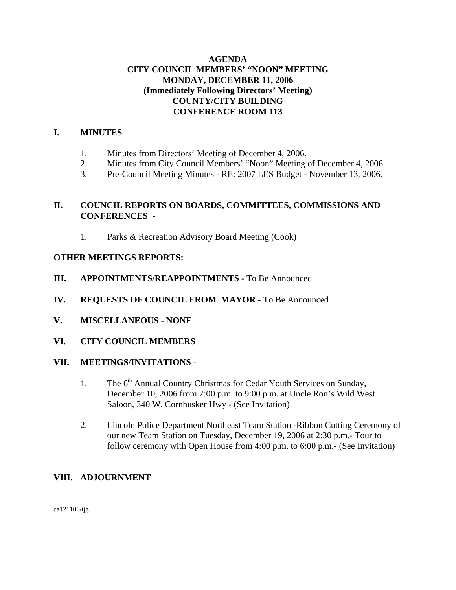# **AGENDA CITY COUNCIL MEMBERS' "NOON" MEETING MONDAY, DECEMBER 11, 2006 (Immediately Following Directors' Meeting) COUNTY/CITY BUILDING CONFERENCE ROOM 113**

# **I. MINUTES**

- 1. Minutes from Directors' Meeting of December 4, 2006.
- 2. Minutes from City Council Members' "Noon" Meeting of December 4, 2006.
- 3. Pre-Council Meeting Minutes RE: 2007 LES Budget November 13, 2006.

# **II. COUNCIL REPORTS ON BOARDS, COMMITTEES, COMMISSIONS AND CONFERENCES -**

1. Parks & Recreation Advisory Board Meeting (Cook)

## **OTHER MEETINGS REPORTS:**

- **III.** APPOINTMENTS/REAPPOINTMENTS To Be Announced
- **IV. REQUESTS OF COUNCIL FROM MAYOR -** To Be Announced
- **V. MISCELLANEOUS NONE**
- **VI. CITY COUNCIL MEMBERS**

### **VII. MEETINGS/INVITATIONS** -

- 1. The 6<sup>th</sup> Annual Country Christmas for Cedar Youth Services on Sunday, December 10, 2006 from 7:00 p.m. to 9:00 p.m. at Uncle Ron's Wild West Saloon, 340 W. Cornhusker Hwy - (See Invitation)
- 2. Lincoln Police Department Northeast Team Station -Ribbon Cutting Ceremony of our new Team Station on Tuesday, December 19, 2006 at 2:30 p.m.- Tour to follow ceremony with Open House from 4:00 p.m. to 6:00 p.m.- (See Invitation)

# **VIII. ADJOURNMENT**

ca121106/tjg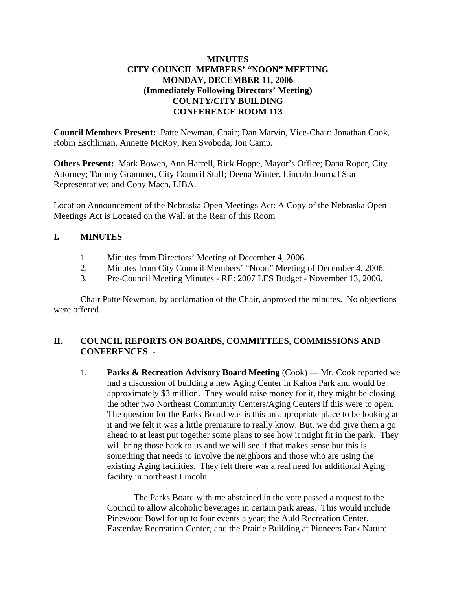# **MINUTES CITY COUNCIL MEMBERS' "NOON" MEETING MONDAY, DECEMBER 11, 2006 (Immediately Following Directors' Meeting) COUNTY/CITY BUILDING CONFERENCE ROOM 113**

**Council Members Present:** Patte Newman, Chair; Dan Marvin, Vice-Chair; Jonathan Cook, Robin Eschliman, Annette McRoy, Ken Svoboda, Jon Camp.

**Others Present:** Mark Bowen, Ann Harrell, Rick Hoppe, Mayor's Office; Dana Roper, City Attorney; Tammy Grammer, City Council Staff; Deena Winter, Lincoln Journal Star Representative; and Coby Mach, LIBA.

Location Announcement of the Nebraska Open Meetings Act: A Copy of the Nebraska Open Meetings Act is Located on the Wall at the Rear of this Room

## **I. MINUTES**

- 1. Minutes from Directors' Meeting of December 4, 2006.
- 2. Minutes from City Council Members' "Noon" Meeting of December 4, 2006.
- 3. Pre-Council Meeting Minutes RE: 2007 LES Budget November 13, 2006.

Chair Patte Newman, by acclamation of the Chair, approved the minutes. No objections were offered.

# **II. COUNCIL REPORTS ON BOARDS, COMMITTEES, COMMISSIONS AND CONFERENCES -**

1. **Parks & Recreation Advisory Board Meeting** (Cook) — Mr. Cook reported we had a discussion of building a new Aging Center in Kahoa Park and would be approximately \$3 million. They would raise money for it, they might be closing the other two Northeast Community Centers/Aging Centers if this were to open. The question for the Parks Board was is this an appropriate place to be looking at it and we felt it was a little premature to really know. But, we did give them a go ahead to at least put together some plans to see how it might fit in the park. They will bring those back to us and we will see if that makes sense but this is something that needs to involve the neighbors and those who are using the existing Aging facilities. They felt there was a real need for additional Aging facility in northeast Lincoln.

The Parks Board with me abstained in the vote passed a request to the Council to allow alcoholic beverages in certain park areas. This would include Pinewood Bowl for up to four events a year; the Auld Recreation Center, Easterday Recreation Center, and the Prairie Building at Pioneers Park Nature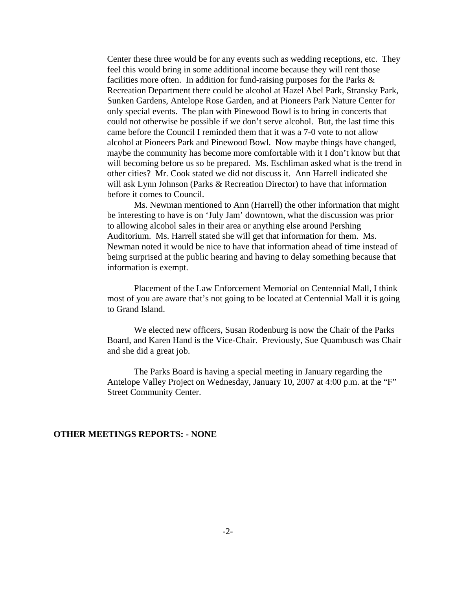Center these three would be for any events such as wedding receptions, etc. They feel this would bring in some additional income because they will rent those facilities more often. In addition for fund-raising purposes for the Parks  $\&$ Recreation Department there could be alcohol at Hazel Abel Park, Stransky Park, Sunken Gardens, Antelope Rose Garden, and at Pioneers Park Nature Center for only special events. The plan with Pinewood Bowl is to bring in concerts that could not otherwise be possible if we don't serve alcohol. But, the last time this came before the Council I reminded them that it was a 7-0 vote to not allow alcohol at Pioneers Park and Pinewood Bowl. Now maybe things have changed, maybe the community has become more comfortable with it I don't know but that will becoming before us so be prepared. Ms. Eschliman asked what is the trend in other cities? Mr. Cook stated we did not discuss it. Ann Harrell indicated she will ask Lynn Johnson (Parks & Recreation Director) to have that information before it comes to Council.

Ms. Newman mentioned to Ann (Harrell) the other information that might be interesting to have is on 'July Jam' downtown, what the discussion was prior to allowing alcohol sales in their area or anything else around Pershing Auditorium. Ms. Harrell stated she will get that information for them. Ms. Newman noted it would be nice to have that information ahead of time instead of being surprised at the public hearing and having to delay something because that information is exempt.

Placement of the Law Enforcement Memorial on Centennial Mall, I think most of you are aware that's not going to be located at Centennial Mall it is going to Grand Island.

We elected new officers, Susan Rodenburg is now the Chair of the Parks Board, and Karen Hand is the Vice-Chair. Previously, Sue Quambusch was Chair and she did a great job.

The Parks Board is having a special meeting in January regarding the Antelope Valley Project on Wednesday, January 10, 2007 at 4:00 p.m. at the "F" Street Community Center.

#### **OTHER MEETINGS REPORTS: - NONE**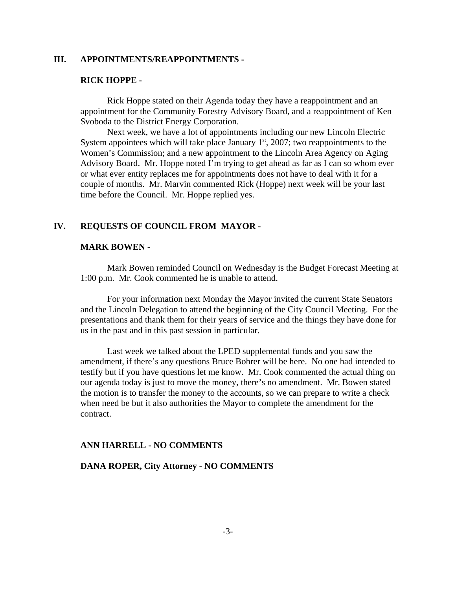### **III. APPOINTMENTS/REAPPOINTMENTS -**

#### **RICK HOPPE -**

Rick Hoppe stated on their Agenda today they have a reappointment and an appointment for the Community Forestry Advisory Board, and a reappointment of Ken Svoboda to the District Energy Corporation.

Next week, we have a lot of appointments including our new Lincoln Electric System appointees which will take place January  $1<sup>st</sup>$ , 2007; two reappointments to the Women's Commission; and a new appointment to the Lincoln Area Agency on Aging Advisory Board. Mr. Hoppe noted I'm trying to get ahead as far as I can so whom ever or what ever entity replaces me for appointments does not have to deal with it for a couple of months. Mr. Marvin commented Rick (Hoppe) next week will be your last time before the Council. Mr. Hoppe replied yes.

#### **IV. REQUESTS OF COUNCIL FROM MAYOR -**

#### **MARK BOWEN -**

Mark Bowen reminded Council on Wednesday is the Budget Forecast Meeting at 1:00 p.m. Mr. Cook commented he is unable to attend.

For your information next Monday the Mayor invited the current State Senators and the Lincoln Delegation to attend the beginning of the City Council Meeting. For the presentations and thank them for their years of service and the things they have done for us in the past and in this past session in particular.

Last week we talked about the LPED supplemental funds and you saw the amendment, if there's any questions Bruce Bohrer will be here. No one had intended to testify but if you have questions let me know. Mr. Cook commented the actual thing on our agenda today is just to move the money, there's no amendment. Mr. Bowen stated the motion is to transfer the money to the accounts, so we can prepare to write a check when need be but it also authorities the Mayor to complete the amendment for the contract.

#### **ANN HARRELL - NO COMMENTS**

### **DANA ROPER, City Attorney - NO COMMENTS**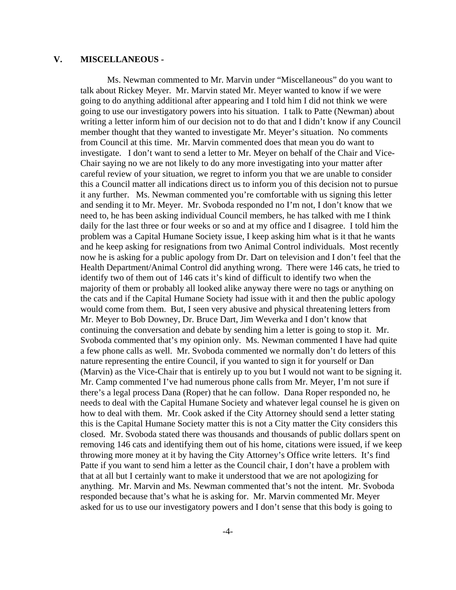### **V. MISCELLANEOUS -**

Ms. Newman commented to Mr. Marvin under "Miscellaneous" do you want to talk about Rickey Meyer. Mr. Marvin stated Mr. Meyer wanted to know if we were going to do anything additional after appearing and I told him I did not think we were going to use our investigatory powers into his situation. I talk to Patte (Newman) about writing a letter inform him of our decision not to do that and I didn't know if any Council member thought that they wanted to investigate Mr. Meyer's situation. No comments from Council at this time. Mr. Marvin commented does that mean you do want to investigate. I don't want to send a letter to Mr. Meyer on behalf of the Chair and Vice-Chair saying no we are not likely to do any more investigating into your matter after careful review of your situation, we regret to inform you that we are unable to consider this a Council matter all indications direct us to inform you of this decision not to pursue it any further. Ms. Newman commented you're comfortable with us signing this letter and sending it to Mr. Meyer. Mr. Svoboda responded no I'm not, I don't know that we need to, he has been asking individual Council members, he has talked with me I think daily for the last three or four weeks or so and at my office and I disagree. I told him the problem was a Capital Humane Society issue, I keep asking him what is it that he wants and he keep asking for resignations from two Animal Control individuals. Most recently now he is asking for a public apology from Dr. Dart on television and I don't feel that the Health Department/Animal Control did anything wrong. There were 146 cats, he tried to identify two of them out of 146 cats it's kind of difficult to identify two when the majority of them or probably all looked alike anyway there were no tags or anything on the cats and if the Capital Humane Society had issue with it and then the public apology would come from them. But, I seen very abusive and physical threatening letters from Mr. Meyer to Bob Downey, Dr. Bruce Dart, Jim Weverka and I don't know that continuing the conversation and debate by sending him a letter is going to stop it. Mr. Svoboda commented that's my opinion only. Ms. Newman commented I have had quite a few phone calls as well. Mr. Svoboda commented we normally don't do letters of this nature representing the entire Council, if you wanted to sign it for yourself or Dan (Marvin) as the Vice-Chair that is entirely up to you but I would not want to be signing it. Mr. Camp commented I've had numerous phone calls from Mr. Meyer, I'm not sure if there's a legal process Dana (Roper) that he can follow. Dana Roper responded no, he needs to deal with the Capital Humane Society and whatever legal counsel he is given on how to deal with them. Mr. Cook asked if the City Attorney should send a letter stating this is the Capital Humane Society matter this is not a City matter the City considers this closed. Mr. Svoboda stated there was thousands and thousands of public dollars spent on removing 146 cats and identifying them out of his home, citations were issued, if we keep throwing more money at it by having the City Attorney's Office write letters. It's find Patte if you want to send him a letter as the Council chair, I don't have a problem with that at all but I certainly want to make it understood that we are not apologizing for anything. Mr. Marvin and Ms. Newman commented that's not the intent. Mr. Svoboda responded because that's what he is asking for. Mr. Marvin commented Mr. Meyer asked for us to use our investigatory powers and I don't sense that this body is going to